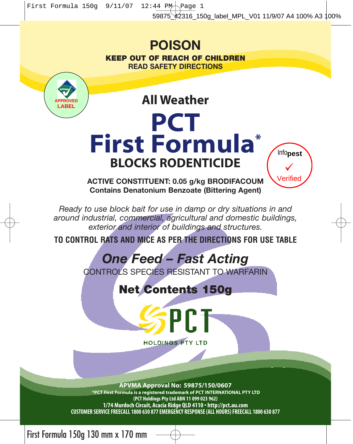### **POISON KEEP OUT OF REACH OF CHILDREN READ SAFETY DIRECTIONS**



**All Weather**

# **PCT First Formula\* BLOCKS RODENTICIDE**



**ACTIVE CONSTITUENT: 0.05 g/kg BRODIFACOUM Contains Denatonium Benzoate (Bittering Agent)**

*Ready to use block bait for use in damp or dry situations in and around industrial, commercial, agricultural and domestic buildings, exterior and interior of buildings and structures.* 

**TO CONTROL RATS AND MICE AS PER THE DIRECTIONS FOR USE TABLE**

## *One Feed – Fast Acting*

CONTROLS SPECIES RESISTANT TO WARFARIN

**Net Contents 150g**

**SPCT** 

**HOLDINGS PTY LTD** 

**APVMA Approval No: 59875/150/0607 \*PCT First Formula is a registered trademark of PCT INTERNATIONAL PTY LTD (PCT Holdings Pty Ltd ABN 11 099 023 962) 1/74 Murdoch Circuit, Acacia Ridge QLD 4110 • http://pct.au.com CUSTOMER SERVICE FREECALL 1800 630 877 EMERGENCY RESPONSE (ALL HOURS) FREECALL 1800 630 877**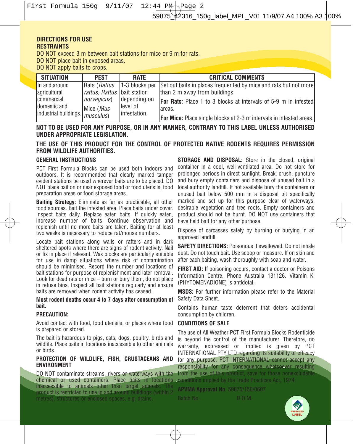### **DIRECTIONS FOR USE RESTRAINTS**

DO NOT exceed 3 m between bait stations for mice or 9 m for rats.

DO NOT place bait in exposed areas.

DO NOT apply baits to crops.

| SITUATION                                | <b>PEST</b>                        | <b>RATE</b>                           | <b>CRITICAL COMMENTS</b>                                                   |
|------------------------------------------|------------------------------------|---------------------------------------|----------------------------------------------------------------------------|
| In and around                            |                                    | Rats ( <i>Rattus</i>   1-3 blocks per | Set out baits in places frequented by mice and rats but not more           |
| agricultural,                            | <i>rattus, Rattus</i> bait station |                                       | than 2 m away from buildings.                                              |
| Icommercial.                             | norvegicus)                        | depending on                          | <b>For Rats:</b> Place 1 to 3 blocks at intervals of 5-9 m in infested     |
| Idomestic and                            | Mice (Mus                          | llevel of                             | lareas.                                                                    |
| lindustrial buildings. <i>musculus</i> ) |                                    | linfestation.                         | <b>For Mice:</b> Place single blocks at 2-3 m intervals in infested areas. |

**NOT TO BE USED FOR ANY PURPOSE, OR IN ANY MANNER, CONTRARY TO THIS LABEL UNLESS AUTHORISED UNDER APPROPRIATE LEGISLATION.**

### **THE USE OF THIS PRODUCT FOR THE CONTROL OF PROTECTED NATIVE RODENTS REQUIRES PERMISSION FROM WILDLIFE AUTHORITIES.**

### **GENERAL INSTRUCTIONS**

PCT First Formula Blocks can be used both indoors and outdoors. It is recommended that clearly marked tamper evident stations be used wherever baits are to be placed. DO NOT place bait on or near exposed food or food utensils, food preparation areas or food storage areas.

**Baiting Strategy:** Eliminate as far as practicable, all other food sources. Bait the infested area. Place baits under cover. Inspect baits daily. Replace eaten baits. If quickly eaten, increase number of baits. Continue observation and replenish until no more baits are taken. Baiting for at least two weeks is necessary to reduce rat/mouse numbers.

Locate bait stations along walls or rafters and in dark sheltered spots where there are signs of rodent activity. Nail or fix in place if relevant. Wax blocks are particularly suitable for use in damp situations where risk of contamination should be minimised. Record the number and locations of bait stations for purpose of replenishment and later removal. Look for dead rats or mice – burn or bury them, do not place in refuse bins. Inspect all bait stations regularly and ensure baits are removed when rodent activity has ceased.

### **Most rodent deaths occur 4 to 7 days after consumption of bait.**

### **PRECAUTION:**

Avoid contact with food, food utensils, or places where food is prepared or stored.

The bait is hazardous to pigs, cats, dogs, poultry, birds and wildlife. Place baits in locations inaccessible to other animals or birds.

### **PROTECTION OF WILDLIFE, FISH, CRUSTACEANS AND ENVIRONMENT**

DO NOT contaminate streams, rivers or waterways with the chemical or used containers. Place baits in locations **inaccessible to animals other than target animals. The product is restricted to use in and around buildings** (within 2 product is restricted to use in and around metres), structures or enclosed spaces, e.g. drains.

**STORAGE AND DISPOSAL:** Store in the closed, original container in a cool, well-ventilated area. Do not store for prolonged periods in direct sunlight. Break, crush, puncture and bury empty containers and dispose of unused bait in a local authority landfill. If not available bury the containers or unused bait below 500 mm in a disposal pit specifically marked and set up for this purpose clear of waterways, desirable vegetation and tree roots. Empty containers and product should not be burnt. DO NOT use containers that have held bait for any other purpose.

Dispose of carcasses safely by burning or burying in an approved landfill.

**SAFETY DIRECTIONS:** Poisonous if swallowed. Do not inhale dust. Do not touch bait. Use scoop or measure. If on skin and after each baiting, wash thoroughly with soap and water.

**FIRST AID:** If poisoning occurs, contact a doctor or Poisons Information Centre. Phone Australia 131126. Vitamin K<sup>1</sup> (PHYTOMENADIONE) is antidotal.

**MSDS:** For further information please refer to the Material Safety Data Sheet.

Contains human taste deterrent that deters accidental consumption by children.

### **CONDITIONS OF SALE**

The use of All Weather PCT First Formula Blocks Rodenticide is beyond the control of the manufacturer. Therefore, no warranty, expressed or implied is given by PCT INTERNATIONAL PTY LTD regarding its suitability or efficacy for any purpose. PCT INTERNATIONAL cannot accept any responsibility for any consequence whatsoever resulting<br>from the use of this product, save for those nonexcludable  $\frac{1}{2}$  from those nonexcluda conditions implied by the Trade Practices Act, 1974.

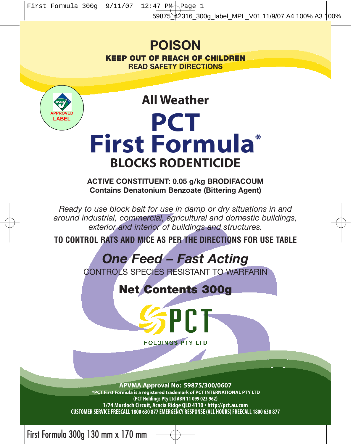First Formula 300g  $9/11/07$  12:47 PM Page 1

### 59875\_42316\_300g\_label\_MPL\_V01 11/9/07 A4 100% A3 100%

## **POISON**

**KEEP OUT OF REACH OF CHILDREN READ SAFETY DIRECTIONS**



**All Weather PCT First Formula\* BLOCKS RODENTICIDE**

**ACTIVE CONSTITUENT: 0.05 g/kg BRODIFACOUM Contains Denatonium Benzoate (Bittering Agent)**

*Ready to use block bait for use in damp or dry situations in and around industrial, commercial, agricultural and domestic buildings, exterior and interior of buildings and structures.* 

**TO CONTROL RATS AND MICE AS PER THE DIRECTIONS FOR USE TABLE**

## *One Feed – Fast Acting*

CONTROLS SPECIES RESISTANT TO WARFARIN

**Net Contents 300g**



PCT

**APVMA Approval No: 59875/300/0607**

**\*PCT First Formula is a registered trademark of PCT INTERNATIONAL PTY LTD (PCT Holdings Pty Ltd ABN 11 099 023 962) 1/74 Murdoch Circuit, Acacia Ridge QLD 4110 • http://pct.au.com CUSTOMER SERVICE FREECALL 1800 630 877 EMERGENCY RESPONSE (ALL HOURS) FREECALL 1800 630 877**

First Formula 300g 130 mm x 170 mm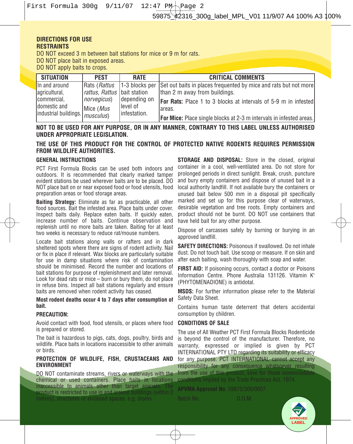First Formula 300q  $9/11/07$  12:47 PM $\neg$ Page 2

### **DIRECTIONS FOR USE RESTRAINTS**

DO NOT exceed 3 m between bait stations for mice or 9 m for rats.

DO NOT place bait in exposed areas.

DO NOT apply baits to crops.

| SITUATION                         | PEST                                | RATE           | <b>CRITICAL COMMENTS</b>                                                   |
|-----------------------------------|-------------------------------------|----------------|----------------------------------------------------------------------------|
| In and around                     | Rats ( <i>Rattus</i>                | 1-3 blocks per | Set out baits in places frequented by mice and rats but not more           |
| agricultural,                     | <i>rattus. Rattus</i> Ibait station |                | Ithan 2 m away from buildings.                                             |
| Icommercial.                      | norvegicus)                         | depending on   | <b>For Rats:</b> Place 1 to 3 blocks at intervals of 5-9 m in infested     |
| Idomestic and                     | Mice (Mus                           | llevel of      | lareas.                                                                    |
| industrial buildings.   musculus) |                                     | linfestation.  | <b>For Mice:</b> Place single blocks at 2-3 m intervals in infested areas. |

**NOT TO BE USED FOR ANY PURPOSE, OR IN ANY MANNER, CONTRARY TO THIS LABEL UNLESS AUTHORISED UNDER APPROPRIATE LEGISLATION.**

**THE USE OF THIS PRODUCT FOR THE CONTROL OF PROTECTED NATIVE RODENTS REQUIRES PERMISSION FROM WILDLIFE AUTHORITIES.**

### **GENERAL INSTRUCTIONS**

PCT First Formula Blocks can be used both indoors and outdoors. It is recommended that clearly marked tamper evident stations be used wherever baits are to be placed. DO NOT place bait on or near exposed food or food utensils, food preparation areas or food storage areas.

**Baiting Strategy:** Eliminate as far as practicable, all other food sources. Bait the infested area. Place baits under cover. Inspect baits daily. Replace eaten baits. If quickly eaten, increase number of baits. Continue observation and replenish until no more baits are taken. Baiting for at least two weeks is necessary to reduce rat/mouse numbers.

Locate bait stations along walls or rafters and in dark sheltered spots where there are signs of rodent activity. Nail or fix in place if relevant. Wax blocks are particularly suitable for use in damp situations where risk of contamination should be minimised. Record the number and locations of bait stations for purpose of replenishment and later removal. Look for dead rats or mice – burn or bury them, do not place in refuse bins. Inspect all bait stations regularly and ensure baits are removed when rodent activity has ceased.

**Most rodent deaths occur 4 to 7 days after consumption of bait.**

#### **PRECAUTION:**

Avoid contact with food, food utensils, or places where food **CONDITIONS OF SALE** is prepared or stored.

The bait is hazardous to pigs, cats, dogs, poultry, birds and wildlife. Place baits in locations inaccessible to other animals or birds.

#### **PROTECTION OF WILDLIFE, FISH, CRUSTACEANS AND** for any purpose. PCT INTERNATIONAL cannot accept any **ENVIRONMENT**

DO NOT contaminate streams, rivers or waterways with the chemical or used containers. Place baits in locations inaccessible to animals other than target animals product is restricted to use in and around buildings (with  $\alpha$ 

**STORAGE AND DISPOSAL:** Store in the closed, original container in a cool, well-ventilated area. Do not store for prolonged periods in direct sunlight. Break, crush, puncture and bury empty containers and dispose of unused bait in a local authority landfill. If not available bury the containers or unused bait below 500 mm in a disposal pit specifically marked and set up for this purpose clear of waterways, desirable vegetation and tree roots. Empty containers and product should not be burnt. DO NOT use containers that have held bait for any other purpose.

Dispose of carcasses safely by burning or burying in an approved landfill.

**SAFETY DIRECTIONS: Poisonous if swallowed. Do not inhale** dust. Do not touch bait. Use scoop or measure. If on skin and after each baiting, wash thoroughly with soap and water.

FIRST AID: If poisoning occurs, contact a doctor or Poisons Information Centre. Phone Australia 131126. Vitamin K<sup>1</sup> (PHYTOMENADIONE) is antidotal.

**MSDS:** For further information please refer to the Material Safety Data Sheet.

Contains human taste deterrent that deters accidental consumption by children.

The use of All Weather PCT First Formula Blocks Rodenticide is beyond the control of the manufacturer. Therefore, no warranty, expressed or implied is given by PCT INTERNATIONAL PTY LTD regarding its suitability or efficacy responsibility for any consequence whatsoever resulting<br>from the use of this product, save for those nonexcludable

**APVMA Approval No**. 59875/300/0607

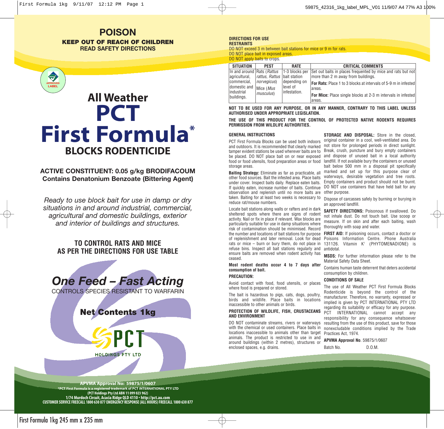### **POISON KEEP OUT OF REACH OF CHILDREN READ SAFETY DIRECTIONS**

# **All Weather PCT First Formula\* BLOCKS RODENTICIDE**

### **ACTIVE CONSTITUENT: 0.05 g/kg BRODIFACOUM Contains Denatonium Benzoate (Bittering Agent)**

*Ready to use block bait for use in damp or dry situations in and around industrial, commercial, agricultural and domestic buildings, exterior and interior of buildings and structures.* 

### **TO CONTROL RATS AND MICE AS PER THE DIRECTIONS FOR USE TABLE**



**Net Contents 1kg**



**RESTRAINTS** DO NOT exceed 3 m between bait stations for mice or 9 m for rats. DO NOT place bait in exposed areas. DO NOT apply baits to crops.

| <b>SITUATION</b>             | <b>PEST</b>                        | RATE                                                   | <b>CRITICAL COMMENTS</b>                                               |
|------------------------------|------------------------------------|--------------------------------------------------------|------------------------------------------------------------------------|
|                              |                                    | $\ln$ and around Rats ( <i>Rattus</i>   1-3 blocks per | Set out baits in places frequented by mice and rats but not            |
| agricultural,                | <i>rattus, Rattus</i> bait station |                                                        | more than 2 m away from buildings.                                     |
| commercial.                  | norvegicus)                        | depending on                                           | <b>For Rats:</b> Place 1 to 3 blocks at intervals of 5-9 m in infested |
| Idomestic and<br>lindustrial | Mice (Mus                          | llevel of<br>linfestation.                             | lareas.                                                                |
| buildings.                   | musculus)                          |                                                        | <b>For Mice:</b> Place single blocks at 2-3 m intervals in infested    |
|                              |                                    |                                                        | lareas.                                                                |

**NOT TO BE USED FOR ANY PURPOSE, OR IN ANY MANNER, CONTRARY TO THIS LABEL UNLESS AUTHORISED UNDER APPROPRIATE LEGISLATION.**

**THE USE OF THIS PRODUCT FOR THE CONTROL OF PROTECTED NATIVE RODENTS REQUIRES PERMISSION FROM WILDLIFE AUTHORITIES.**

### **GENERAL INSTRUCTIONS**

PCT First Formula Blocks can be used both indoors and outdoors. It is recommended that clearly marked tamper evident stations be used wherever baits are to be placed. DO NOT place bait on or near exposed and dispose of unused bait in a local authority food or food utensils, food preparation areas or food landfill. If not available bury the containers or unused storage areas.

**Baiting Strategy:** Eliminate as far as practicable, all other food sources. Bait the infested area. Place baits under cover. Inspect baits daily. Replace eaten baits. If quickly eaten, increase number of baits. Continue observation and replenish until no more baits are other purpose. taken. Baiting for at least two weeks is necessary to reduce rat/mouse numbers.

Locate bait stations along walls or rafters and in dark sheltered spots where there are signs of rodent activity. Nail or fix in place if relevant. Wax blocks are particularly suitable for use in damp situations where risk of contamination should be minimised. Record of replenishment and later removal. Look for dead rats or mice – burn or bury them, do not place in refuse bins. Inspect all bait stations regularly and ensure baits are removed when rodent activity has ceased.

**Most rodent deaths occur 4 to 7 days after consumption of bait.**

### **PRECAUTION:**

Avoid contact with food, food utensils, or places where food is prepared or stored.

The bait is hazardous to pigs, cats, dogs, poultry, birds and wildlife. Place baits in locations inaccessible to other animals or birds.

### **PROTECTION OF WILDLIFE, FISH, CRUSTACEANS AND ENVIRONMENT**

DO NOT contaminate streams, rivers or waterways with the chemical or used containers. Place baits in locations inaccessible to animals other than target Practices Act, 1974. animals. The product is restricted to use in and around buildings (within 2 metres), structures or enclosed spaces, e.g. drains.

**STORAGE AND DISPOSAL:** Store in the closed, original container in a cool, well-ventilated area. Do not store for prolonged periods in direct sunlight. Break, crush, puncture and bury empty containers bait below 500 mm in a disposal pit specifically marked and set up for this purpose clear of waterways, desirable vegetation and tree roots. Empty containers and product should not be burnt. DO NOT use containers that have held bait for any

Dispose of carcasses safely by burning or burying in an approved landfill.

**SAFETY DIRECTIONS:** Poisonous if swallowed. Do not inhale dust. Do not touch bait. Use scoop or measure. If on skin and after each baiting, wash thoroughly with soap and water.

the number and locations of bait stations for purpose **FIRST AID:** If poisoning occurs, contact a doctor or Poisons Information Centre. Phone Australia 131126. Vitamin K<sup>1</sup> (PHYTOMENADIONE) is antidotal.

> **MSDS:** For further information please refer to the Material Safety Data Sheet.

> Contains human taste deterrent that deters accidental consumption by children.

### **CONDITIONS OF SALE**

The use of All Weather PCT First Formula Blocks Rodenticide is beyond the control of the manufacturer. Therefore, no warranty, expressed or implied is given by PCT INTERNATIONAL PTY LTD regarding its suitability or efficacy for any purpose. PCT INTERNATIONAL cannot accept any responsibility for any consequence whatsoever resulting from the use of this product, save for those nonexcludable conditions implied by the Trade

**APVMA Approval No**. 59875/1/0607

Batch No. D.O.M.

**APVMA Approval No: 59875/1/0607 tered trademark of PCT INTERNATIONAL PTY LTD (PCT Holdings Pty Ltd ABN 11 099 023 962) 1/74 Murdoch Circuit, Acacia Ridge QLD 4110 • http://pct.au.com CUSTOMER SERVICE FREECALL 1800 630 877 EMERGENCY RESPONSE (ALL HOURS) FREECALL 1800 630 877**

**HOLDINGS PTY LTD** 

First Formula 1kg 245 mm x 235 mm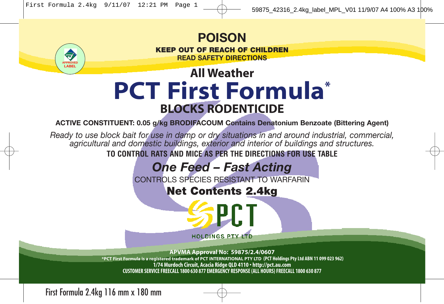

**READ SAFETY DIRECTIONS**

## **All Weather PCT First Formula\* BLOCKS RODENTICIDE**

**ACTIVE CONSTITUENT: 0.05 g/kg BRODIFACOUM Contains Denatonium Benzoate (Bittering Agent)**

*Ready to use block bait for use in damp or dry situations in and around industrial, commercial, agricultural and domestic buildings, exterior and interior of buildings and structures.*  **TO CONTROL RATS AND MICE AS PER THE DIRECTIONS FOR USE TABLE**

## *One Feed – Fast Acting*

CONTROLS SPECIES RESISTANT TO WARFARIN

**Net Contents 2.4kg**

PC 1

**HOLDINGS PTY LTD** 

**APVMA Approval No: 59875/2.4/0607 \*PCT First Formula is a registered trademark of PCT INTERNATIONAL PTY LTD (PCT Holdings Pty Ltd ABN 11 099 023 962) 1/74 Murdoch Circuit, Acacia Ridge QLD 4110 • http://pct.au.com CUSTOMER SERVICE FREECALL 1800 630 877 EMERGENCY RESPONSE (ALL HOURS) FREECALL 1800 630 877**

First Formula 2.4kg 116 mm x 180 mm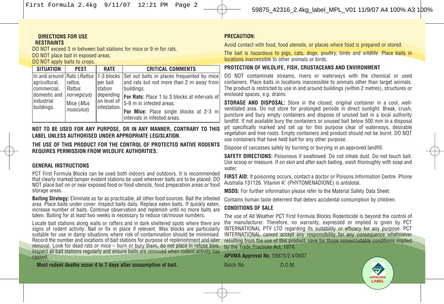First Formula 2.4kg 9/11/07 12:21 PM Page 2

#### **DIRECTIONS FOR USE RESTRAINTS**

DO NOT exceed 3 m between bait stations for mice or 9 m for rats. DO NOT place bait in exposed areas.

### DO NOT apply baits to crops.

| <b>SITUATION</b>                                                          | <b>PFST</b>                                                | RATE                                                             | <b>CRITICAL COMMENTS</b>                                                                                                                                                                                                                                                                                                 |
|---------------------------------------------------------------------------|------------------------------------------------------------|------------------------------------------------------------------|--------------------------------------------------------------------------------------------------------------------------------------------------------------------------------------------------------------------------------------------------------------------------------------------------------------------------|
| agricultural,<br>commercial.<br>domestic and<br>lindustrial<br>buildings. | rattus.<br>Rattus<br>norvegicus)<br>Mice (Mus<br>musculus) | per bait<br>station<br>depending<br>on level of<br>linfestation. | In and around Rats ( <i>Rattus</i> 1-3 blocks Set out baits in places frequented by mice<br>and rats but not more than 2 m away from<br>buildings.<br><b>For Rats:</b> Place 1 to 3 blocks at intervals of<br>15-9 m in infested areas.<br><b>For Mice:</b> Place single blocks at 2-3 m<br>intervals in infested areas. |

**NOT TO BE USED FOR ANY PURPOSE, OR IN ANY MANNER, CONTRARY TO THIS LABEL UNLESS AUTHORISED UNDER APPROPRIATE LEGISLATION.**

**THE USE OF THIS PRODUCT FOR THE CONTROL OF PROTECTED NATIVE RODENTS REQUIRES PERMISSION FROM WILDLIFE AUTHORITIES.**

### **GENERAL INSTRUCTIONS**

PCT First Formula Blocks can be used both indoors and outdoors. It is recommended that clearly marked tamper evident stations be used wherever baits are to be placed. DO NOT place bait on or near exposed food or food utensils, food preparation areas or food storage areas.

**Baiting Strategy:** Eliminate as far as practicable, all other food sources. Bait the infested area. Place baits under cover. Inspect baits daily. Replace eaten baits. If quickly eaten, increase number of baits. Continue observation and replenish until no more baits are taken. Baiting for at least two weeks is necessary to reduce rat/mouse numbers.

Locate bait stations along walls or rafters and in dark sheltered spots where there are signs of rodent activity. Nail or fix in place if relevant. Wax blocks are particularly suitable for use in damp situations where risk of contamination should be minimised. Record the number and locations of bait stations for purpose of replenishment and later removal. Look for dead rats or mice – burn or bury them, do not place in refuse bins. Inspect all bait stations regularly and ensure baits are removed when rodent activity has ceased.

**Most rodent deaths occur 4 to 7 days after consumption of bait.**

### **PRECAUTION:**

Avoid contact with food, food utensils, or places where food is prepared or stored.

The bait is hazardous to pigs, cats, dogs, poultry, birds and wildlife. Place baits in locations inaccessible to other animals or birds.

### **PROTECTION OF WILDLIFE, FISH, CRUSTACEANS AND ENVIRONMENT**

DO NOT contaminate streams, rivers or waterways with the chemical or used containers. Place baits in locations inaccessible to animals other than target animals. The product is restricted to use in and around buildings (within 2 metres), structures or enclosed spaces, e.g. drains.

**STORAGE AND DISPOSAL:** Store in the closed, original container in a cool, wellventilated area. Do not store for prolonged periods in direct sunlight. Break, crush, puncture and bury empty containers and dispose of unused bait in a local authority landfill. If not available bury the containers or unused bait below 500 mm in a disposal pit specifically marked and set up for this purpose clear of waterways, desirable vegetation and tree roots. Empty containers and product should not be burnt. DO NOT use containers that have held bait for any other purpose.

Dispose of carcasses safely by burning or burying in an approved landfill.

**SAFETY DIRECTIONS:** Poisonous if swallowed. Do not inhale dust. Do not touch bait. Use scoop or measure. If on skin and after each baiting, wash thoroughly with soap and water.

**FIRST AID:** If poisoning occurs, contact a doctor or Poisons Information Centre. Phone Australia 131126. Vitamin K<sup>1</sup> (PHYTOMENADIONE) is antidotal.

**MSDS:** For further information please refer to the Material Safety Data Sheet.

Contains human taste deterrent that deters accidental consumption by children.

### **CONDITIONS OF SALE**

The use of All Weather PCT First Formula Blocks Rodenticide is beyond the control of the manufacturer. Therefore, no warranty, expressed or implied is given by PCT INTERNATIONAL PTY LTD regarding its suitability or efficacy for any purpose. PCT INTERNATIONAL cannot accept any responsibility for any consequence whatsoever resulting from the use of this product, save for those nonexcludable conditions implied by the Trade Practices Act, 1974.

**APVMA Approval No**. 59875/2.4/0607

Batch No. **D.O.M.** 

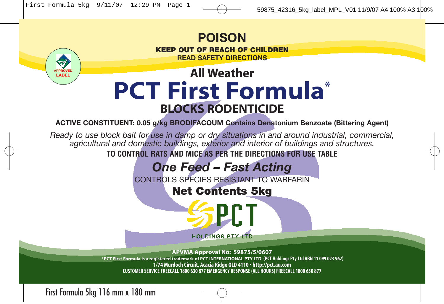

## **All Weather PCT First Formula\* BLOCKS RODENTICIDE**

**ACTIVE CONSTITUENT: 0.05 g/kg BRODIFACOUM Contains Denatonium Benzoate (Bittering Agent)**

*Ready to use block bait for use in damp or dry situations in and around industrial, commercial, agricultural and domestic buildings, exterior and interior of buildings and structures.*  **TO CONTROL RATS AND MICE AS PER THE DIRECTIONS FOR USE TABLE**

## *One Feed – Fast Acting*

CONTROLS SPECIES RESISTANT TO WARFARIN

**Net Contents 5kg**

PC 1

**HOLDINGS PTY LTD** 

**APVMA Approval No: 59875/5/0607 \*PCT First Formula is a registered trademark of PCT INTERNATIONAL PTY LTD (PCT Holdings Pty Ltd ABN 11 099 023 962) 1/74 Murdoch Circuit, Acacia Ridge QLD 4110 • http://pct.au.com CUSTOMER SERVICE FREECALL 1800 630 877 EMERGENCY RESPONSE (ALL HOURS) FREECALL 1800 630 877**

First Formula 5kg 116 mm x 180 mm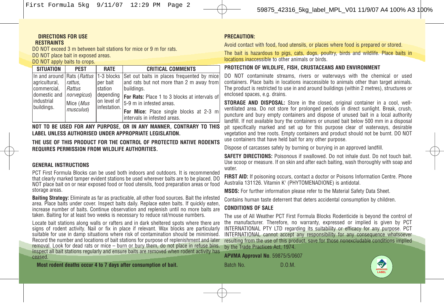First Formula 5kg 9/11/07 12:29 PM Page 2

#### **DIRECTIONS FOR USE RESTRAINTS**

DO NOT exceed 3 m between bait stations for mice or 9 m for rats. DO NOT place bait in exposed areas. DO NOT apply baits to crops.

| <b>SITUATION</b>                                                          | <b>PFST</b>                                                | <b>RATE</b>                                                         | <b>CRITICAL COMMENTS</b>                                                                                                                                                                                                                                                                                            |
|---------------------------------------------------------------------------|------------------------------------------------------------|---------------------------------------------------------------------|---------------------------------------------------------------------------------------------------------------------------------------------------------------------------------------------------------------------------------------------------------------------------------------------------------------------|
| agricultural,<br>commercial.<br>domestic and<br>lindustrial<br>buildings. | rattus.<br>Rattus<br>norvegicus)<br>Mice (Mus<br>musculus) | lper bait<br>Istation<br>depending<br>lon level of<br>linfestation. | In and around Rats ( <i>Rattus</i> 1-3 blocks Set out baits in places frequented by mice<br>and rats but not more than 2 m away from<br>Ibuildinas.<br>For Rats: Place 1 to 3 blocks at intervals of<br>15-9 m in infested areas.<br><b>For Mice:</b> Place single blocks at 2-3 m<br>lintervals in infested areas. |

**NOT TO BE USED FOR ANY PURPOSE, OR IN ANY MANNER, CONTRARY TO THIS LABEL UNLESS AUTHORISED UNDER APPROPRIATE LEGISLATION.**

**THE USE OF THIS PRODUCT FOR THE CONTROL OF PROTECTED NATIVE RODENTS REQUIRES PERMISSION FROM WILDLIFE AUTHORITIES.**

### **GENERAL INSTRUCTIONS**

PCT First Formula Blocks can be used both indoors and outdoors. It is recommended that clearly marked tamper evident stations be used wherever baits are to be placed. DO NOT place bait on or near exposed food or food utensils, food preparation areas or food storage areas.

**Baiting Strategy:** Eliminate as far as practicable, all other food sources. Bait the infested area. Place baits under cover. Inspect baits daily. Replace eaten baits. If quickly eaten, increase number of baits. Continue observation and replenish until no more baits are taken. Baiting for at least two weeks is necessary to reduce rat/mouse numbers.

Locate bait stations along walls or rafters and in dark sheltered spots where there are signs of rodent activity. Nail or fix in place if relevant. Wax blocks are particularly suitable for use in damp situations where risk of contamination should be minimised. Record the number and locations of bait stations for purpose of replenishment and later removal. Look for dead rats or mice – burn or bury them, do not place in refuse bins. Inspect all bait stations regularly and ensure baits are removed when rodent activity has ceased.

**Most rodent deaths occur 4 to 7 days after consumption of bait.**

### **PRECAUTION:**

Avoid contact with food, food utensils, or places where food is prepared or stored.

The bait is hazardous to pigs, cats, dogs, poultry, birds and wildlife. Place baits in locations inaccessible to other animals or birds.

### **PROTECTION OF WILDLIFE, FISH, CRUSTACEANS AND ENVIRONMENT**

DO NOT contaminate streams, rivers or waterways with the chemical or used containers. Place baits in locations inaccessible to animals other than target animals. The product is restricted to use in and around buildings (within 2 metres), structures or enclosed spaces, e.g. drains.

**STORAGE AND DISPOSAL:** Store in the closed, original container in a cool, wellventilated area. Do not store for prolonged periods in direct sunlight. Break, crush, puncture and bury empty containers and dispose of unused bait in a local authority landfill. If not available bury the containers or unused bait below 500 mm in a disposal pit specifically marked and set up for this purpose clear of waterways, desirable vegetation and tree roots. Empty containers and product should not be burnt. DO NOT use containers that have held bait for any other purpose.

Dispose of carcasses safely by burning or burying in an approved landfill.

**SAFETY DIRECTIONS:** Poisonous if swallowed. Do not inhale dust. Do not touch bait. Use scoop or measure. If on skin and after each baiting, wash thoroughly with soap and water.

**FIRST AID:** If poisoning occurs, contact a doctor or Poisons Information Centre. Phone Australia 131126. Vitamin K<sup>1</sup> (PHYTOMENADIONE) is antidotal.

**MSDS:** For further information please refer to the Material Safety Data Sheet.

Contains human taste deterrent that deters accidental consumption by children.

### **CONDITIONS OF SALE**

The use of All Weather PCT First Formula Blocks Rodenticide is beyond the control of the manufacturer. Therefore, no warranty, expressed or implied is given by PCT INTERNATIONAL PTY LTD regarding its suitability or efficacy for any purpose. PCT INTERNATIONAL cannot accept any responsibility for any consequence whatsoever resulting from the use of this product, save for those nonexcludable conditions implied by the Trade Practices Act, 1974.

**APVMA Approval No**. 59875/5/0607

Batch No. **D.O.M.** 

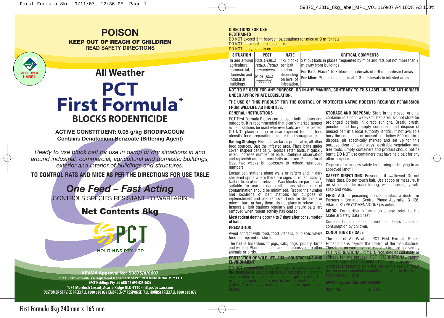### **POISON KEEP OUT OF REACH OF CHILDREN READ SAFETY DIRECTIONS**



## **All Weather PCT First Formula \* BLOCKS RODENTICIDE**

**ACTIVE CONSTITUENT: 0.05 g/kg BRODIFACOUM Contains Denatonium Benzoate (Bittering Agent)**

*Ready to use block bait for use in damp or dry situations in and around industrial, commercial, agricultural and domestic buildings, exterior and interior of buildings and structures.* 

### **TO CONTROL RATS AND MICE AS PER THE DIRECTIONS FOR USE TABLE**

*One Feed – Fast Acting*

CONTROLS SPECIES RESISTANT TO WARFARIN

## **Net Contents 8kg**



**APVMA Approval No: 59875/8/0607 \*PCT First Formula is a registered trademark of PCT INTERNATIONAL PTY LTD (PCT Holdings Pty Ltd ABN 11 099 023 962) 1/74 Murdoch Circuit, Acacia Ridge QLD 4110 • http://pct.au.com CUSTOMER SERVICE FREECALL 1800 630 877 EMERGENCY RESPONSE (ALL HOURS) FREECALL 1800 630 877**

#### **DIRECTIONS FOR USE RESTRAINTS**

DO NOT exceed 3 m between bait stations for mice or 9 m for rats. DO NOT place bait in exposed areas. DO NOT apply baits to crops.

| SITUATION                                            | PEST                | <b>RATE</b>                               | <b>CRITICAL COMMENTS</b>                                                                                        |
|------------------------------------------------------|---------------------|-------------------------------------------|-----------------------------------------------------------------------------------------------------------------|
|                                                      |                     |                                           | In and around Rats (Rattus   1-3 blocks Set out baits in places frequented by mice and rats but not more than 2 |
| agricultural, <i>rattus, Rattus</i>   per bait       |                     |                                           | Im away from buildings.                                                                                         |
| commercial.                                          | <i>norvegicus</i> ) | Istation                                  | <b>For Rats:</b> Place 1 to 3 blocks at intervals of 5-9 m in infested areas.                                   |
| domestic and   Mice (Mus<br>industrial<br>buildings. | musculus)           | depending<br>on level of<br>linfestation. | <b>For Mice:</b> Place single blocks at 2-3 m intervals in infested areas.                                      |

**NOT TO BE USED FOR ANY PURPOSE, OR IN ANY MANNER, CONTRARY TO THIS LABEL UNLESS AUTHORISED UNDER APPROPRIATE LEGISLATION.**

### **THE USE OF THIS PRODUCT FOR THE CONTROL OF PROTECTED NATIVE RODENTS REQUIRES PERMISSION FROM WILDLIFE AUTHORITIES.**

### **GENERAL INSTRUCTIONS**

PCT First Formula Blocks can be used both indoors and outdoors. It is recommended that clearly marked tamper evident stations be used wherever baits are to be placed. DO NOT place bait on or near exposed food or food unused bait in a local authority landfill. If not available utensils, food preparation areas or food storage areas.

**Baiting Strategy:** Eliminate as far as practicable, all other food sources. Bait the infested area. Place baits under cover. Inspect baits daily. Replace eaten baits. If quickly eaten, increase number of baits. Continue observation and replenish until no more baits are taken. Baiting for at least two weeks is necessary to reduce rat/mouse numbers.

Locate bait stations along walls or rafters and in dark sheltered spots where there are signs of rodent activity. Nail or fix in place if relevant. Wax blocks are particularly suitable for use in damp situations where risk of contamination should be minimised. Record the number soap and water. and locations of bait stations for purpose of replenishment and later removal. Look for dead rats or mice – burn or bury them, do not place in refuse bins. Inspect all bait stations regularly and ensure baits are removed when rodent activity has ceased.

### **Most rodent deaths occur 4 to 7 days after consumption of bait.**

### **PRECAUTION:**

Avoid contact with food, food utensils, or places where food is prepared or stored.

The bait is hazardous to pigs, cats, dogs, poultry, birds animals or birds.

**PROTECTION OF WILDLIFE, FISH, CRUSTACEANS AND ENVIRONMENT**

DO NOT contaminate streams, rivers or waterways with

**STORAGE AND DISPOSAL:** Store in the closed, original container in a cool, well-ventilated area. Do not store for prolonged periods in direct sunlight. Break, crush, puncture and bury empty containers and dispose of bury the containers or unused bait below 500 mm in a disposal pit specifically marked and set up for this purpose clear of waterways, desirable vegetation and tree roots. Empty containers and product should not be burnt. DO NOT use containers that have held bait for any other purpose.

Dispose of carcasses safely by burning or burying in an approved landfill.

**SAFETY DIRECTIONS:** Poisonous if swallowed. Do not inhale dust. Do not touch bait. Use scoop or measure. If on skin and after each baiting, wash thoroughly with

**FIRST AID:** If poisoning occurs, contact a doctor or Poisons Information Centre. Phone Australia 131126. Vitamin K<sup>1</sup> (PHYTOMENADIONE) is antidotal.

**MSDS:** For further information please refer to the Material Safety Data Sheet.

Contains human taste deterrent that deters accidental consumption by children.

### **CONDITIONS OF SALE**

and wildlife. Place baits in locations inaccessible to other Therefore, no warranty, expressed or implied is given by The use of All Weather PCT First Formula Blocks Rodenticide is beyond the control of the manufacturer. PCT INTERNATIONAL PTY LTD regarding its suitability or efficacy for any purpose. PCT INTERNATIONAL cannot

> accept any responsibility for any consequence whatsoever resulting from the use of this product, save

First Formula 8kg 240 mm x 165 mm